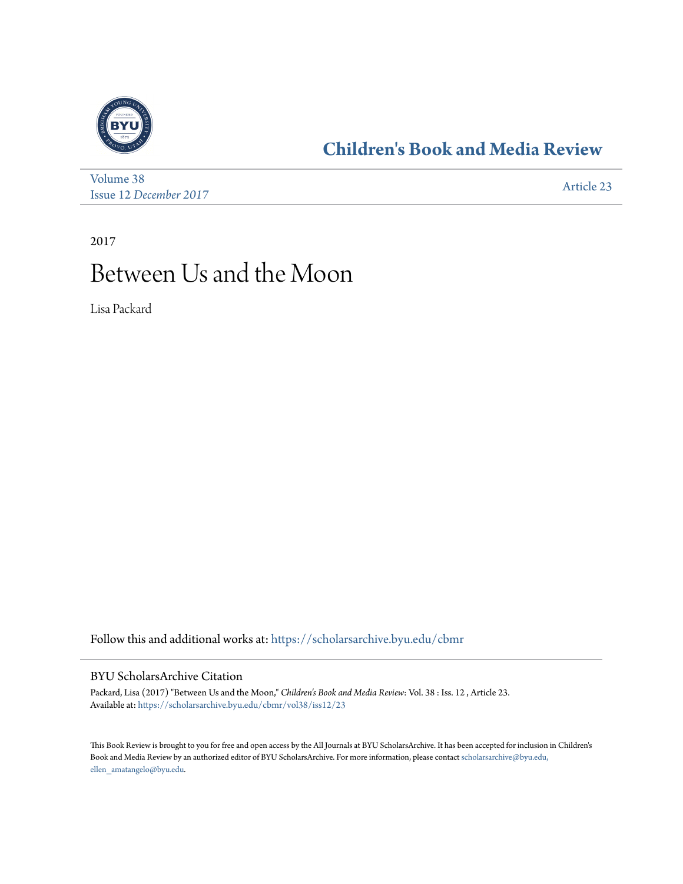

## **[Children's Book and Media Review](https://scholarsarchive.byu.edu/cbmr?utm_source=scholarsarchive.byu.edu%2Fcbmr%2Fvol38%2Fiss12%2F23&utm_medium=PDF&utm_campaign=PDFCoverPages)**

[Volume 38](https://scholarsarchive.byu.edu/cbmr/vol38?utm_source=scholarsarchive.byu.edu%2Fcbmr%2Fvol38%2Fiss12%2F23&utm_medium=PDF&utm_campaign=PDFCoverPages) Issue 12 *[December 2017](https://scholarsarchive.byu.edu/cbmr/vol38/iss12?utm_source=scholarsarchive.byu.edu%2Fcbmr%2Fvol38%2Fiss12%2F23&utm_medium=PDF&utm_campaign=PDFCoverPages)* [Article 23](https://scholarsarchive.byu.edu/cbmr/vol38/iss12/23?utm_source=scholarsarchive.byu.edu%2Fcbmr%2Fvol38%2Fiss12%2F23&utm_medium=PDF&utm_campaign=PDFCoverPages)

2017

## Between Us and the Moon

Lisa Packard

Follow this and additional works at: [https://scholarsarchive.byu.edu/cbmr](https://scholarsarchive.byu.edu/cbmr?utm_source=scholarsarchive.byu.edu%2Fcbmr%2Fvol38%2Fiss12%2F23&utm_medium=PDF&utm_campaign=PDFCoverPages)

## BYU ScholarsArchive Citation

Packard, Lisa (2017) "Between Us and the Moon," *Children's Book and Media Review*: Vol. 38 : Iss. 12 , Article 23. Available at: [https://scholarsarchive.byu.edu/cbmr/vol38/iss12/23](https://scholarsarchive.byu.edu/cbmr/vol38/iss12/23?utm_source=scholarsarchive.byu.edu%2Fcbmr%2Fvol38%2Fiss12%2F23&utm_medium=PDF&utm_campaign=PDFCoverPages)

This Book Review is brought to you for free and open access by the All Journals at BYU ScholarsArchive. It has been accepted for inclusion in Children's Book and Media Review by an authorized editor of BYU ScholarsArchive. For more information, please contact [scholarsarchive@byu.edu,](mailto:scholarsarchive@byu.edu,%20ellen_amatangelo@byu.edu) [ellen\\_amatangelo@byu.edu.](mailto:scholarsarchive@byu.edu,%20ellen_amatangelo@byu.edu)